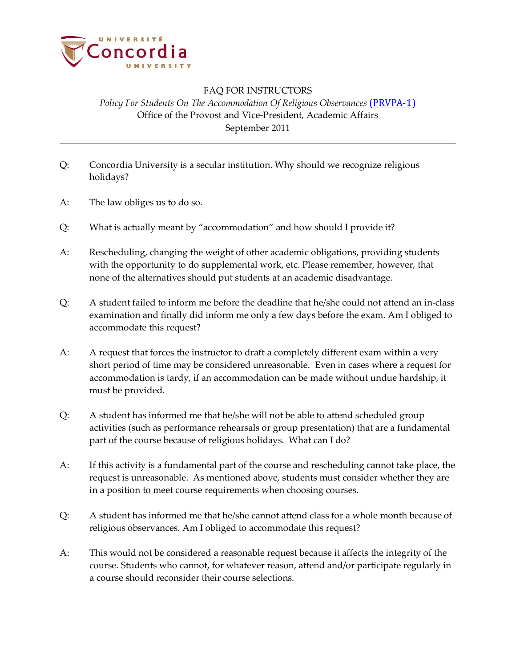

## FAQ FOR INSTRUCTORS *Policy For Students On The Accommodation Of Religious Observances* (*PRVPA-1*) Office of the Provost and Vice-President, Academic Affairs September 2011

- Q: Concordia University is a secular institution. Why should we recognize religious holidays?
- A: The law obliges us to do so.
- Q: What is actually meant by "accommodation" and how should I provide it?
- A: Rescheduling, changing the weight of other academic obligations, providing students with the opportunity to do supplemental work, etc. Please remember, however, that none of the alternatives should put students at an academic disadvantage.
- Q: A student failed to inform me before the deadline that he/she could not attend an in-class examination and finally did inform me only a few days before the exam. Am I obliged to accommodate this request?
- A: A request that forces the instructor to draft a completely different exam within a very short period of time may be considered unreasonable. Even in cases where a request for accommodation is tardy, if an accommodation can be made without undue hardship, it must be provided.
- Q: A student has informed me that he/she will not be able to attend scheduled group activities (such as performance rehearsals or group presentation) that are a fundamental part of the course because of religious holidays. What can I do?
- A: If this activity is a fundamental part of the course and rescheduling cannot take place, the request is unreasonable. As mentioned above, students must consider whether they are in a position to meet course requirements when choosing courses.
- Q: A student has informed me that he/she cannot attend class for a whole month because of religious observances. Am I obliged to accommodate this request?
- A: This would not be considered a reasonable request because it affects the integrity of the course. Students who cannot, for whatever reason, attend and/or participate regularly in a course should reconsider their course selections.